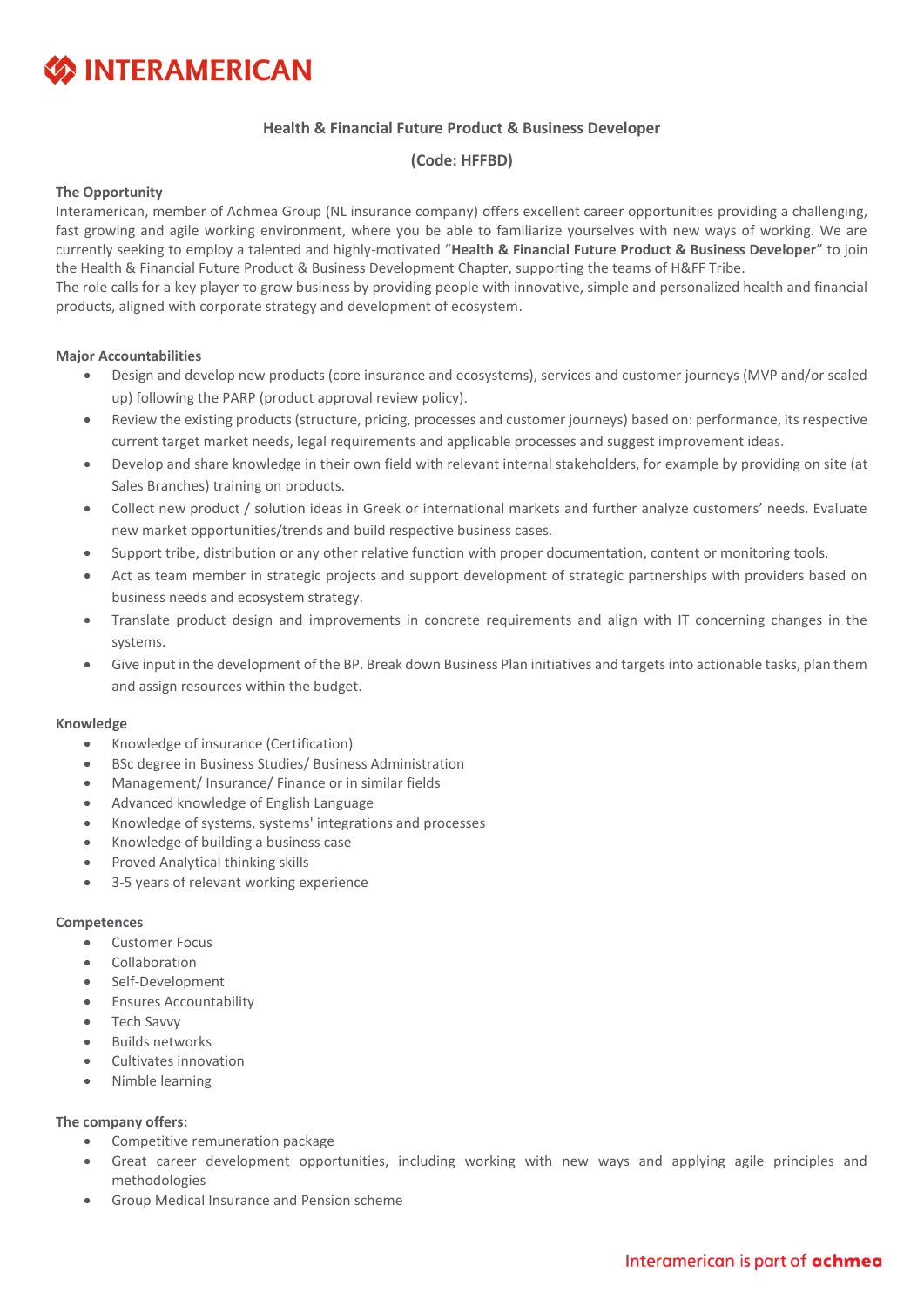# **SINTERAMERICAN**

## **Health & Financial Future Product & Business Developer**

### **(Code: HFFBD)**

#### **The Opportunity**

Interamerican, member of Achmea Group (NL insurance company) offers excellent career opportunities providing a challenging, fast growing and agile working environment, where you be able to familiarize yourselves with new ways of working. We are currently seeking to employ a talented and highly-motivated "**Health & Financial Future Product & Business Developer**" to join the Health & Financial Future Product & Business Development Chapter, supporting the teams of H&FF Tribe.

The role calls for a key player το grow business by providing people with innovative, simple and personalized health and financial products, aligned with corporate strategy and development of ecosystem.

#### **Major Accountabilities**

- Design and develop new products (core insurance and ecosystems), services and customer journeys (MVP and/or scaled up) following the PARP (product approval review policy).
- Review the existing products (structure, pricing, processes and customer journeys) based on: performance, its respective current target market needs, legal requirements and applicable processes and suggest improvement ideas.
- Develop and share knowledge in their own field with relevant internal stakeholders, for example by providing on site (at Sales Branches) training on products.
- Collect new product / solution ideas in Greek or international markets and further analyze customers' needs. Evaluate new market opportunities/trends and build respective business cases.
- Support tribe, distribution or any other relative function with proper documentation, content or monitoring tools.
- Act as team member in strategic projects and support development of strategic partnerships with providers based on business needs and ecosystem strategy.
- Translate product design and improvements in concrete requirements and align with IT concerning changes in the systems.
- Give input in the development of the BP. Break down Business Plan initiatives and targets into actionable tasks, plan them and assign resources within the budget.

#### **Knowledge**

- Knowledge of insurance (Certification)
- BSc degree in Business Studies/ Business Administration
- Management/ Insurance/ Finance or in similar fields
- Advanced knowledge of English Language
- Knowledge of systems, systems' integrations and processes
- Knowledge of building a business case
- Proved Analytical thinking skills
- 3-5 years of relevant working experience

#### **Competences**

- Customer Focus
- Collaboration
- Self-Development
- Ensures Accountability
- Tech Savvy
- Builds networks
- Cultivates innovation
- Nimble learning

#### **The company offers:**

- Competitive remuneration package
- Great career development opportunities, including working with new ways and applying agile principles and methodologies
- Group Medical Insurance and Pension scheme